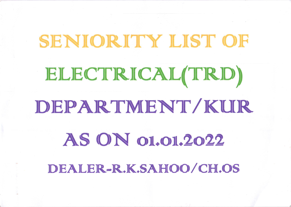# SENIORITY LIST OF ELECTRICAL(TRD) DEPARTMENT/KUR **AS ON 01.01.2022** DEALER-R.K.SAHOO/CH.OS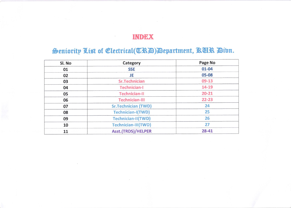## **INDEX**

## Seniority List of Electrical(TRA) Department, RCR Dibn.

| Sl. No | Category                   | Page No   |  |  |  |  |
|--------|----------------------------|-----------|--|--|--|--|
| 01     | <b>SSE</b>                 | $01 - 04$ |  |  |  |  |
| 02     | <b>JE</b>                  | 05-08     |  |  |  |  |
| 03     | <b>Sr.Technician</b>       | $09-13$   |  |  |  |  |
| 04     | <b>Technician-I</b>        | 14-19     |  |  |  |  |
| 05     | <b>Technician-II</b>       | $20 - 21$ |  |  |  |  |
| 06     | <b>Technician-III</b>      | $22 - 23$ |  |  |  |  |
| 07     | <b>Sr.Technician (TWD)</b> | 24        |  |  |  |  |
| 08     | <b>Technician-I(TWD)</b>   | 25        |  |  |  |  |
| 09     | Technician-II(TWD)         | 26        |  |  |  |  |
| 10     | Technician-III(TWD)        | 27        |  |  |  |  |
| 11     | <b>Asst.(TRDS)/HELPER</b>  | $28 - 41$ |  |  |  |  |